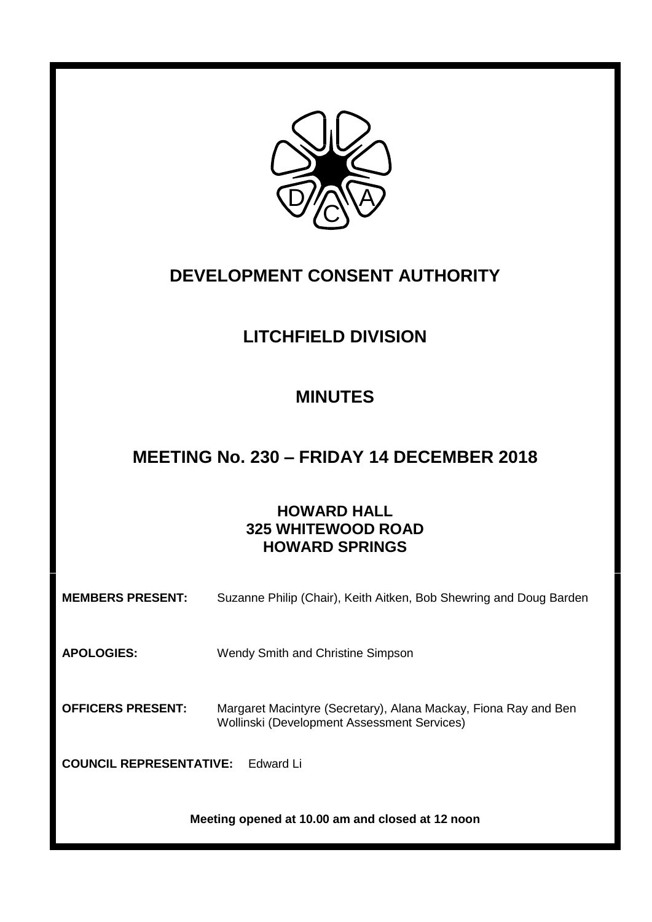

# **DEVELOPMENT CONSENT AUTHORITY**

# **LITCHFIELD DIVISION**

# **MINUTES**

## **MEETING No. 230 – FRIDAY 14 DECEMBER 2018**

## **HOWARD HALL 325 WHITEWOOD ROAD HOWARD SPRINGS**

| <b>MEMBERS PRESENT:</b>                          | Suzanne Philip (Chair), Keith Aitken, Bob Shewring and Doug Barden                                             |
|--------------------------------------------------|----------------------------------------------------------------------------------------------------------------|
| <b>APOLOGIES:</b>                                | Wendy Smith and Christine Simpson                                                                              |
| <b>OFFICERS PRESENT:</b>                         | Margaret Macintyre (Secretary), Alana Mackay, Fiona Ray and Ben<br>Wollinski (Development Assessment Services) |
| <b>COUNCIL REPRESENTATIVE:</b><br>Fdward Li      |                                                                                                                |
| Meeting opened at 10.00 am and closed at 12 noon |                                                                                                                |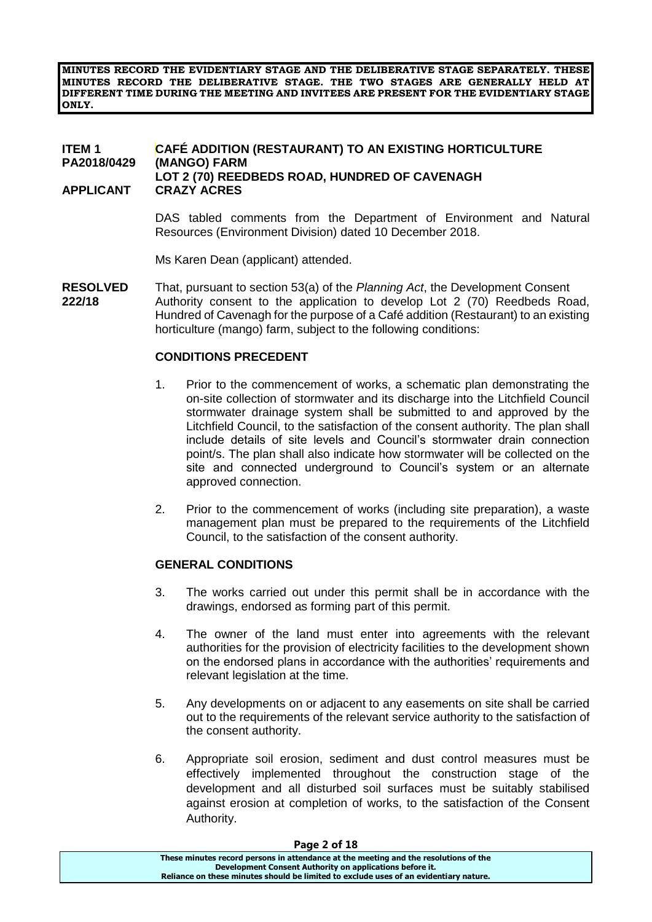**MINUTES RECORD THE EVIDENTIARY STAGE AND THE DELIBERATIVE STAGE SEPARATELY. THESE MINUTES RECORD THE DELIBERATIVE STAGE. THE TWO STAGES ARE GENERALLY HELD AT DIFFERENT TIME DURING THE MEETING AND INVITEES ARE PRESENT FOR THE EVIDENTIARY STAGE ONLY.**

#### **ITEM 1 CAFÉ ADDITION (RESTAURANT) TO AN EXISTING HORTICULTURE PA2018/0429 (MANGO) FARM LOT 2 (70) REEDBEDS ROAD, HUNDRED OF CAVENAGH APPLICANT CRAZY ACRES**

DAS tabled comments from the Department of Environment and Natural Resources (Environment Division) dated 10 December 2018.

Ms Karen Dean (applicant) attended.

**RESOLVED** That, pursuant to section 53(a) of the *Planning Act*, the Development Consent **222/18** Authority consent to the application to develop Lot 2 (70) Reedbeds Road, Hundred of Cavenagh for the purpose of a Café addition (Restaurant) to an existing horticulture (mango) farm, subject to the following conditions:

#### **CONDITIONS PRECEDENT**

- 1. Prior to the commencement of works, a schematic plan demonstrating the on-site collection of stormwater and its discharge into the Litchfield Council stormwater drainage system shall be submitted to and approved by the Litchfield Council, to the satisfaction of the consent authority. The plan shall include details of site levels and Council's stormwater drain connection point/s. The plan shall also indicate how stormwater will be collected on the site and connected underground to Council's system or an alternate approved connection.
- 2. Prior to the commencement of works (including site preparation), a waste management plan must be prepared to the requirements of the Litchfield Council, to the satisfaction of the consent authority.

#### **GENERAL CONDITIONS**

- 3. The works carried out under this permit shall be in accordance with the drawings, endorsed as forming part of this permit.
- 4. The owner of the land must enter into agreements with the relevant authorities for the provision of electricity facilities to the development shown on the endorsed plans in accordance with the authorities' requirements and relevant legislation at the time.
- 5. Any developments on or adjacent to any easements on site shall be carried out to the requirements of the relevant service authority to the satisfaction of the consent authority.
- 6. Appropriate soil erosion, sediment and dust control measures must be effectively implemented throughout the construction stage of the development and all disturbed soil surfaces must be suitably stabilised against erosion at completion of works, to the satisfaction of the Consent Authority.

| Page 2 or 10                                                                          |  |
|---------------------------------------------------------------------------------------|--|
| These minutes record persons in attendance at the meeting and the resolutions of the  |  |
| Development Consent Authority on applications before it.                              |  |
| Reliance on these minutes should be limited to exclude uses of an evidentiary nature. |  |

#### **Page 2 of 18**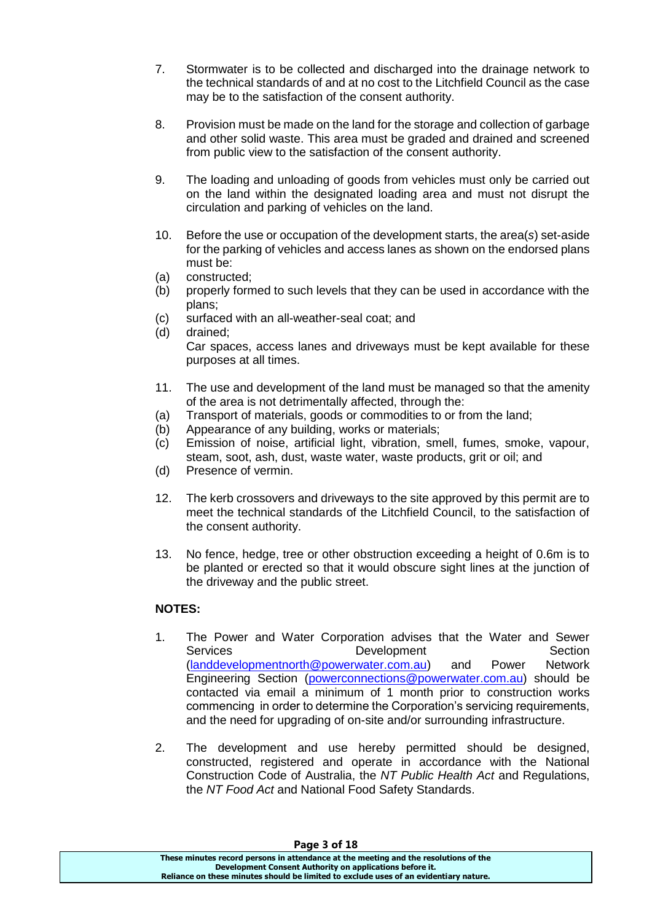- 7. Stormwater is to be collected and discharged into the drainage network to the technical standards of and at no cost to the Litchfield Council as the case may be to the satisfaction of the consent authority.
- 8. Provision must be made on the land for the storage and collection of garbage and other solid waste. This area must be graded and drained and screened from public view to the satisfaction of the consent authority.
- 9. The loading and unloading of goods from vehicles must only be carried out on the land within the designated loading area and must not disrupt the circulation and parking of vehicles on the land.
- 10. Before the use or occupation of the development starts, the area(*s*) set-aside for the parking of vehicles and access lanes as shown on the endorsed plans must be:
- (a) constructed;
- (b) properly formed to such levels that they can be used in accordance with the plans;
- (c) surfaced with an all-weather-seal coat; and
- (d) drained; Car spaces, access lanes and driveways must be kept available for these purposes at all times.
- 11. The use and development of the land must be managed so that the amenity of the area is not detrimentally affected, through the:
- (a) Transport of materials, goods or commodities to or from the land;
- (b) Appearance of any building, works or materials;
- (c) Emission of noise, artificial light, vibration, smell, fumes, smoke, vapour, steam, soot, ash, dust, waste water, waste products, grit or oil; and
- (d) Presence of vermin.
- 12. The kerb crossovers and driveways to the site approved by this permit are to meet the technical standards of the Litchfield Council, to the satisfaction of the consent authority.
- 13. No fence, hedge, tree or other obstruction exceeding a height of 0.6m is to be planted or erected so that it would obscure sight lines at the junction of the driveway and the public street.

## **NOTES:**

- 1. The Power and Water Corporation advises that the Water and Sewer Services **Development** Development Section [\(landdevelopmentnorth@powerwater.com.au\)](mailto:landdevelopmentnorth@powerwater.com.au) and Power Network Engineering Section [\(powerconnections@powerwater.com.au\)](mailto:powerconnections@powerwater.com.au) should be contacted via email a minimum of 1 month prior to construction works commencing in order to determine the Corporation's servicing requirements, and the need for upgrading of on-site and/or surrounding infrastructure.
- 2. The development and use hereby permitted should be designed, constructed, registered and operate in accordance with the National Construction Code of Australia, the *NT Public Health Act* and Regulations, the *NT Food Act* and National Food Safety Standards.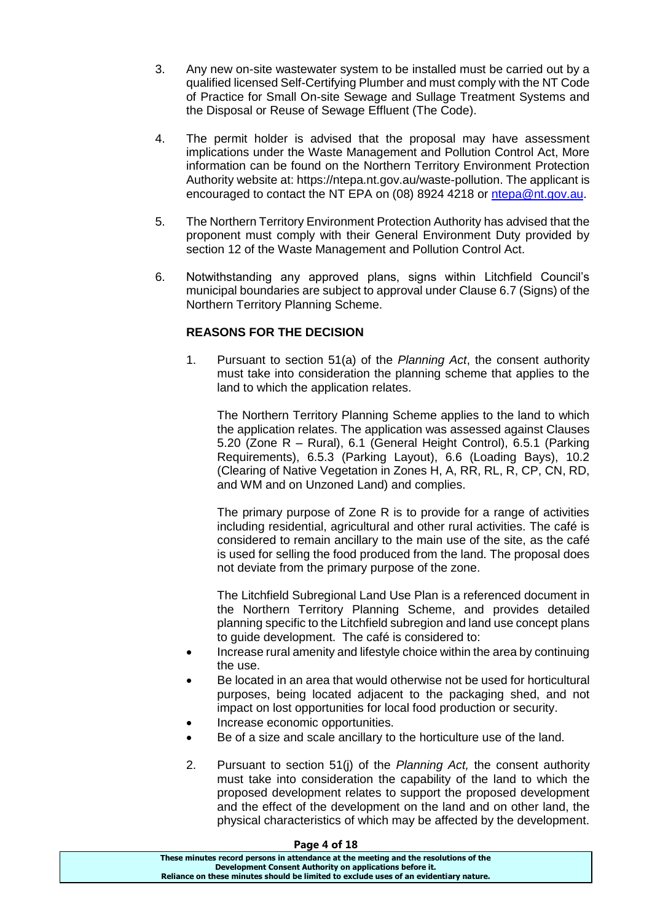- 3. Any new on-site wastewater system to be installed must be carried out by a qualified licensed Self-Certifying Plumber and must comply with the NT Code of Practice for Small On-site Sewage and Sullage Treatment Systems and the Disposal or Reuse of Sewage Effluent (The Code).
- 4. The permit holder is advised that the proposal may have assessment implications under the Waste Management and Pollution Control Act, More information can be found on the Northern Territory Environment Protection Authority website at: https://ntepa.nt.gov.au/waste-pollution. The applicant is encouraged to contact the NT EPA on (08) 8924 4218 or [ntepa@nt.gov.au.](mailto:ntepa@nt.gov.au)
- 5. The Northern Territory Environment Protection Authority has advised that the proponent must comply with their General Environment Duty provided by section 12 of the Waste Management and Pollution Control Act.
- 6. Notwithstanding any approved plans, signs within Litchfield Council's municipal boundaries are subject to approval under Clause 6.7 (Signs) of the Northern Territory Planning Scheme.

## **REASONS FOR THE DECISION**

1. Pursuant to section 51(a) of the *Planning Act*, the consent authority must take into consideration the planning scheme that applies to the land to which the application relates.

The Northern Territory Planning Scheme applies to the land to which the application relates. The application was assessed against Clauses 5.20 (Zone R – Rural), 6.1 (General Height Control), 6.5.1 (Parking Requirements), 6.5.3 (Parking Layout), 6.6 (Loading Bays), 10.2 (Clearing of Native Vegetation in Zones H, A, RR, RL, R, CP, CN, RD, and WM and on Unzoned Land) and complies.

The primary purpose of Zone R is to provide for a range of activities including residential, agricultural and other rural activities. The café is considered to remain ancillary to the main use of the site, as the café is used for selling the food produced from the land. The proposal does not deviate from the primary purpose of the zone.

The Litchfield Subregional Land Use Plan is a referenced document in the Northern Territory Planning Scheme, and provides detailed planning specific to the Litchfield subregion and land use concept plans to guide development. The café is considered to:

- Increase rural amenity and lifestyle choice within the area by continuing the use.
- Be located in an area that would otherwise not be used for horticultural purposes, being located adjacent to the packaging shed, and not impact on lost opportunities for local food production or security.
- Increase economic opportunities.
- Be of a size and scale ancillary to the horticulture use of the land.
- 2. Pursuant to section 51(j) of the *Planning Act,* the consent authority must take into consideration the capability of the land to which the proposed development relates to support the proposed development and the effect of the development on the land and on other land, the physical characteristics of which may be affected by the development.

| Page 4 of 18                                                                          |  |
|---------------------------------------------------------------------------------------|--|
| These minutes record persons in attendance at the meeting and the resolutions of the  |  |
| Development Consent Authority on applications before it.                              |  |
| Reliance on these minutes should be limited to exclude uses of an evidentiary nature. |  |

**Page 4 of 18**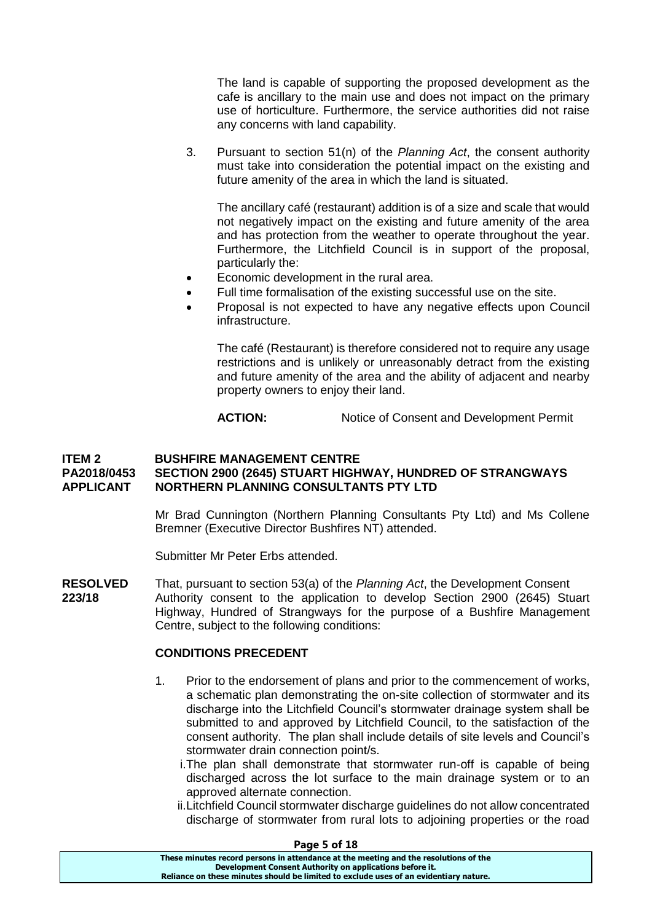The land is capable of supporting the proposed development as the cafe is ancillary to the main use and does not impact on the primary use of horticulture. Furthermore, the service authorities did not raise any concerns with land capability.

3. Pursuant to section 51(n) of the *Planning Act*, the consent authority must take into consideration the potential impact on the existing and future amenity of the area in which the land is situated.

The ancillary café (restaurant) addition is of a size and scale that would not negatively impact on the existing and future amenity of the area and has protection from the weather to operate throughout the year. Furthermore, the Litchfield Council is in support of the proposal, particularly the:

- Economic development in the rural area.
- Full time formalisation of the existing successful use on the site.
- Proposal is not expected to have any negative effects upon Council infrastructure.

The café (Restaurant) is therefore considered not to require any usage restrictions and is unlikely or unreasonably detract from the existing and future amenity of the area and the ability of adjacent and nearby property owners to enjoy their land.

**ACTION:** Notice of Consent and Development Permit

#### **ITEM 2 BUSHFIRE MANAGEMENT CENTRE PA2018/0453 SECTION 2900 (2645) STUART HIGHWAY, HUNDRED OF STRANGWAYS NORTHERN PLANNING CONSULTANTS PTY LTD**

Mr Brad Cunnington (Northern Planning Consultants Pty Ltd) and Ms Collene Bremner (Executive Director Bushfires NT) attended.

Submitter Mr Peter Erbs attended.

**RESOLVED** That, pursuant to section 53(a) of the *Planning Act*, the Development Consent **223/18** Authority consent to the application to develop Section 2900 (2645) Stuart Highway, Hundred of Strangways for the purpose of a Bushfire Management Centre, subject to the following conditions:

## **CONDITIONS PRECEDENT**

- 1. Prior to the endorsement of plans and prior to the commencement of works, a schematic plan demonstrating the on-site collection of stormwater and its discharge into the Litchfield Council's stormwater drainage system shall be submitted to and approved by Litchfield Council, to the satisfaction of the consent authority. The plan shall include details of site levels and Council's stormwater drain connection point/s.
	- i.The plan shall demonstrate that stormwater run-off is capable of being discharged across the lot surface to the main drainage system or to an approved alternate connection.
	- ii.Litchfield Council stormwater discharge guidelines do not allow concentrated discharge of stormwater from rural lots to adjoining properties or the road

**Page 5 of 18**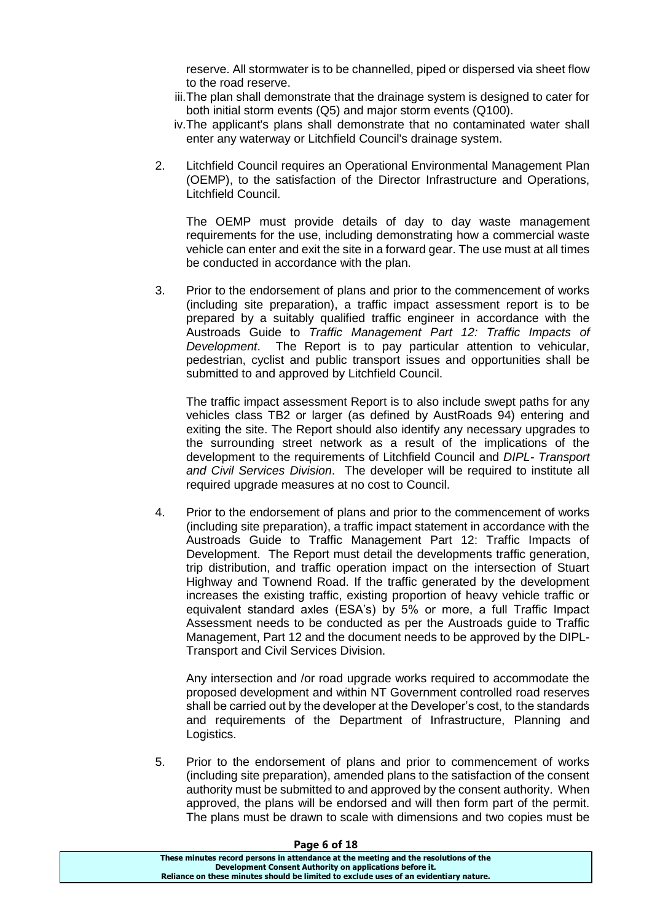reserve. All stormwater is to be channelled, piped or dispersed via sheet flow to the road reserve.

- iii.The plan shall demonstrate that the drainage system is designed to cater for both initial storm events (Q5) and major storm events (Q100).
- iv.The applicant's plans shall demonstrate that no contaminated water shall enter any waterway or Litchfield Council's drainage system.
- 2. Litchfield Council requires an Operational Environmental Management Plan (OEMP), to the satisfaction of the Director Infrastructure and Operations, Litchfield Council.

The OEMP must provide details of day to day waste management requirements for the use, including demonstrating how a commercial waste vehicle can enter and exit the site in a forward gear. The use must at all times be conducted in accordance with the plan.

3. Prior to the endorsement of plans and prior to the commencement of works (including site preparation), a traffic impact assessment report is to be prepared by a suitably qualified traffic engineer in accordance with the Austroads Guide to *Traffic Management Part 12: Traffic Impacts of Development*. The Report is to pay particular attention to vehicular, pedestrian, cyclist and public transport issues and opportunities shall be submitted to and approved by Litchfield Council.

The traffic impact assessment Report is to also include swept paths for any vehicles class TB2 or larger (as defined by AustRoads 94) entering and exiting the site. The Report should also identify any necessary upgrades to the surrounding street network as a result of the implications of the development to the requirements of Litchfield Council and *DIPL- Transport and Civil Services Division*. The developer will be required to institute all required upgrade measures at no cost to Council.

4. Prior to the endorsement of plans and prior to the commencement of works (including site preparation), a traffic impact statement in accordance with the Austroads Guide to Traffic Management Part 12: Traffic Impacts of Development. The Report must detail the developments traffic generation, trip distribution, and traffic operation impact on the intersection of Stuart Highway and Townend Road. If the traffic generated by the development increases the existing traffic, existing proportion of heavy vehicle traffic or equivalent standard axles (ESA's) by 5% or more, a full Traffic Impact Assessment needs to be conducted as per the Austroads guide to Traffic Management, Part 12 and the document needs to be approved by the DIPL-Transport and Civil Services Division.

Any intersection and /or road upgrade works required to accommodate the proposed development and within NT Government controlled road reserves shall be carried out by the developer at the Developer's cost, to the standards and requirements of the Department of Infrastructure, Planning and Logistics.

5. Prior to the endorsement of plans and prior to commencement of works (including site preparation), amended plans to the satisfaction of the consent authority must be submitted to and approved by the consent authority. When approved, the plans will be endorsed and will then form part of the permit. The plans must be drawn to scale with dimensions and two copies must be

#### **Page 6 of 18**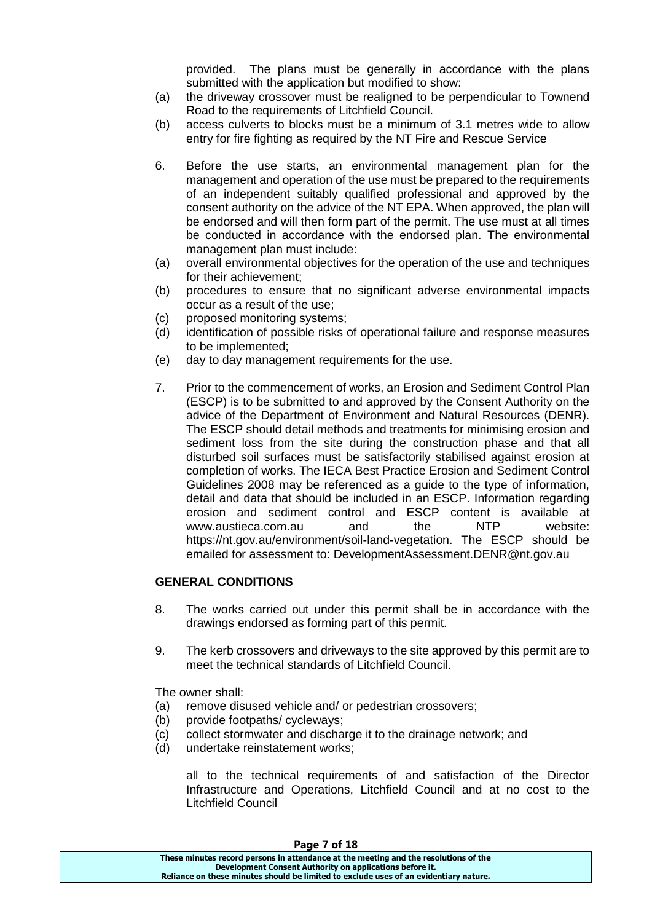provided. The plans must be generally in accordance with the plans submitted with the application but modified to show:

- (a) the driveway crossover must be realigned to be perpendicular to Townend Road to the requirements of Litchfield Council.
- (b) access culverts to blocks must be a minimum of 3.1 metres wide to allow entry for fire fighting as required by the NT Fire and Rescue Service
- 6. Before the use starts, an environmental management plan for the management and operation of the use must be prepared to the requirements of an independent suitably qualified professional and approved by the consent authority on the advice of the NT EPA. When approved, the plan will be endorsed and will then form part of the permit. The use must at all times be conducted in accordance with the endorsed plan. The environmental management plan must include:
- (a) overall environmental objectives for the operation of the use and techniques for their achievement;
- (b) procedures to ensure that no significant adverse environmental impacts occur as a result of the use;
- (c) proposed monitoring systems;
- (d) identification of possible risks of operational failure and response measures to be implemented;
- (e) day to day management requirements for the use.
- 7. Prior to the commencement of works, an Erosion and Sediment Control Plan (ESCP) is to be submitted to and approved by the Consent Authority on the advice of the Department of Environment and Natural Resources (DENR). The ESCP should detail methods and treatments for minimising erosion and sediment loss from the site during the construction phase and that all disturbed soil surfaces must be satisfactorily stabilised against erosion at completion of works. The IECA Best Practice Erosion and Sediment Control Guidelines 2008 may be referenced as a guide to the type of information, detail and data that should be included in an ESCP. Information regarding erosion and sediment control and ESCP content is available at www.austieca.com.au and the NTP website: https://nt.gov.au/environment/soil-land-vegetation. The ESCP should be emailed for assessment to: DevelopmentAssessment.DENR@nt.gov.au

#### **GENERAL CONDITIONS**

- 8. The works carried out under this permit shall be in accordance with the drawings endorsed as forming part of this permit.
- 9. The kerb crossovers and driveways to the site approved by this permit are to meet the technical standards of Litchfield Council.

The owner shall:

- (a) remove disused vehicle and/ or pedestrian crossovers;
- (b) provide footpaths/ cycleways;
- (c) collect stormwater and discharge it to the drainage network; and
- (d) undertake reinstatement works;

all to the technical requirements of and satisfaction of the Director Infrastructure and Operations, Litchfield Council and at no cost to the Litchfield Council

| Page 7 of 18                                                                          |
|---------------------------------------------------------------------------------------|
| These minutes record persons in attendance at the meeting and the resolutions of the  |
| Development Consent Authority on applications before it.                              |
| Reliance on these minutes should be limited to exclude uses of an evidentiary nature. |
|                                                                                       |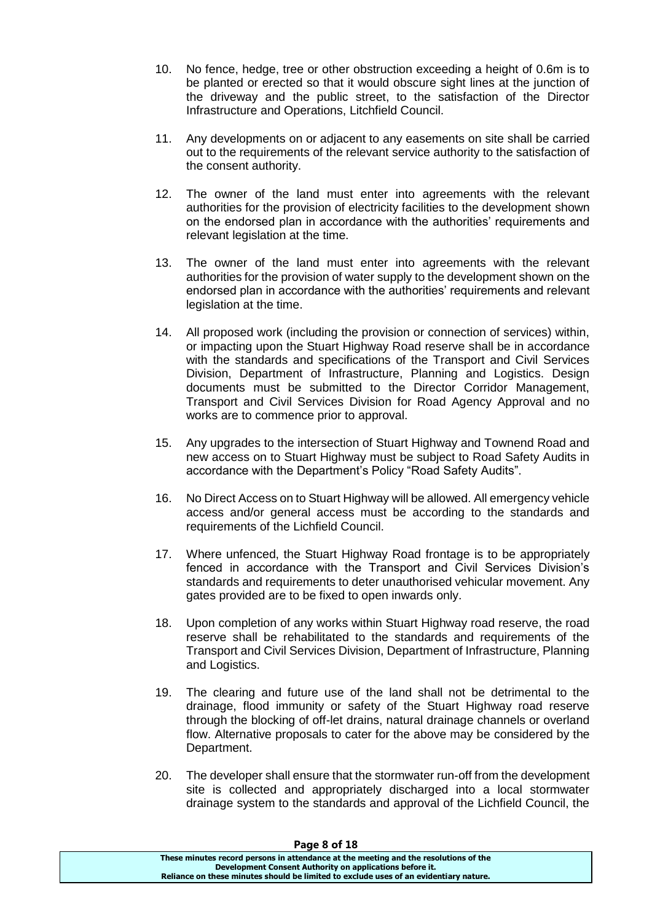- 10. No fence, hedge, tree or other obstruction exceeding a height of 0.6m is to be planted or erected so that it would obscure sight lines at the junction of the driveway and the public street, to the satisfaction of the Director Infrastructure and Operations, Litchfield Council.
- 11. Any developments on or adjacent to any easements on site shall be carried out to the requirements of the relevant service authority to the satisfaction of the consent authority.
- 12. The owner of the land must enter into agreements with the relevant authorities for the provision of electricity facilities to the development shown on the endorsed plan in accordance with the authorities' requirements and relevant legislation at the time.
- 13. The owner of the land must enter into agreements with the relevant authorities for the provision of water supply to the development shown on the endorsed plan in accordance with the authorities' requirements and relevant legislation at the time.
- 14. All proposed work (including the provision or connection of services) within, or impacting upon the Stuart Highway Road reserve shall be in accordance with the standards and specifications of the Transport and Civil Services Division, Department of Infrastructure, Planning and Logistics. Design documents must be submitted to the Director Corridor Management, Transport and Civil Services Division for Road Agency Approval and no works are to commence prior to approval.
- 15. Any upgrades to the intersection of Stuart Highway and Townend Road and new access on to Stuart Highway must be subject to Road Safety Audits in accordance with the Department's Policy "Road Safety Audits".
- 16. No Direct Access on to Stuart Highway will be allowed. All emergency vehicle access and/or general access must be according to the standards and requirements of the Lichfield Council.
- 17. Where unfenced, the Stuart Highway Road frontage is to be appropriately fenced in accordance with the Transport and Civil Services Division's standards and requirements to deter unauthorised vehicular movement. Any gates provided are to be fixed to open inwards only.
- 18. Upon completion of any works within Stuart Highway road reserve, the road reserve shall be rehabilitated to the standards and requirements of the Transport and Civil Services Division, Department of Infrastructure, Planning and Logistics.
- 19. The clearing and future use of the land shall not be detrimental to the drainage, flood immunity or safety of the Stuart Highway road reserve through the blocking of off-let drains, natural drainage channels or overland flow. Alternative proposals to cater for the above may be considered by the Department.
- 20. The developer shall ensure that the stormwater run-off from the development site is collected and appropriately discharged into a local stormwater drainage system to the standards and approval of the Lichfield Council, the

| Page 8 of 18                                                                          |  |
|---------------------------------------------------------------------------------------|--|
| These minutes record persons in attendance at the meeting and the resolutions of the  |  |
| Development Consent Authority on applications before it.                              |  |
| Reliance on these minutes should be limited to exclude uses of an evidentiary nature. |  |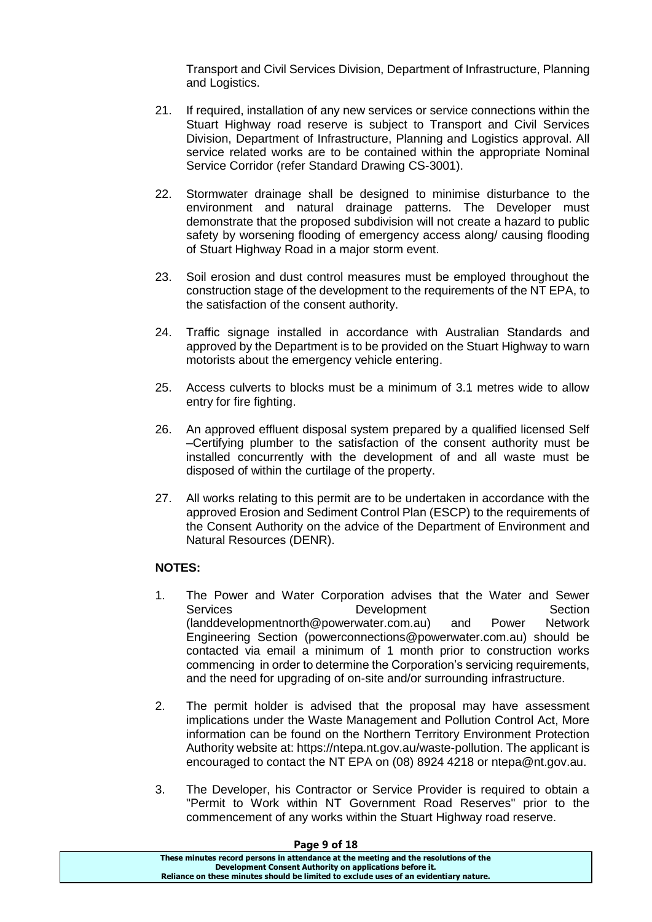Transport and Civil Services Division, Department of Infrastructure, Planning and Logistics.

- 21. If required, installation of any new services or service connections within the Stuart Highway road reserve is subject to Transport and Civil Services Division, Department of Infrastructure, Planning and Logistics approval. All service related works are to be contained within the appropriate Nominal Service Corridor (refer Standard Drawing CS-3001).
- 22. Stormwater drainage shall be designed to minimise disturbance to the environment and natural drainage patterns. The Developer must demonstrate that the proposed subdivision will not create a hazard to public safety by worsening flooding of emergency access along/ causing flooding of Stuart Highway Road in a major storm event.
- 23. Soil erosion and dust control measures must be employed throughout the construction stage of the development to the requirements of the NT EPA, to the satisfaction of the consent authority.
- 24. Traffic signage installed in accordance with Australian Standards and approved by the Department is to be provided on the Stuart Highway to warn motorists about the emergency vehicle entering.
- 25. Access culverts to blocks must be a minimum of 3.1 metres wide to allow entry for fire fighting.
- 26. An approved effluent disposal system prepared by a qualified licensed Self –Certifying plumber to the satisfaction of the consent authority must be installed concurrently with the development of and all waste must be disposed of within the curtilage of the property.
- 27. All works relating to this permit are to be undertaken in accordance with the approved Erosion and Sediment Control Plan (ESCP) to the requirements of the Consent Authority on the advice of the Department of Environment and Natural Resources (DENR).

## **NOTES:**

- 1. The Power and Water Corporation advises that the Water and Sewer<br>Section Cevelopment Development Section (landdevelopmentnorth@powerwater.com.au) and Power Network Engineering Section (powerconnections@powerwater.com.au) should be contacted via email a minimum of 1 month prior to construction works commencing in order to determine the Corporation's servicing requirements, and the need for upgrading of on-site and/or surrounding infrastructure.
- 2. The permit holder is advised that the proposal may have assessment implications under the Waste Management and Pollution Control Act, More information can be found on the Northern Territory Environment Protection Authority website at: https://ntepa.nt.gov.au/waste-pollution. The applicant is encouraged to contact the NT EPA on (08) 8924 4218 or ntepa@nt.gov.au.
- 3. The Developer, his Contractor or Service Provider is required to obtain a "Permit to Work within NT Government Road Reserves" prior to the commencement of any works within the Stuart Highway road reserve.

| Page 9 or 18                                                                          |  |
|---------------------------------------------------------------------------------------|--|
| These minutes record persons in attendance at the meeting and the resolutions of the  |  |
| Development Consent Authority on applications before it.                              |  |
| Reliance on these minutes should be limited to exclude uses of an evidentiary nature. |  |

#### **Page 9 of 18**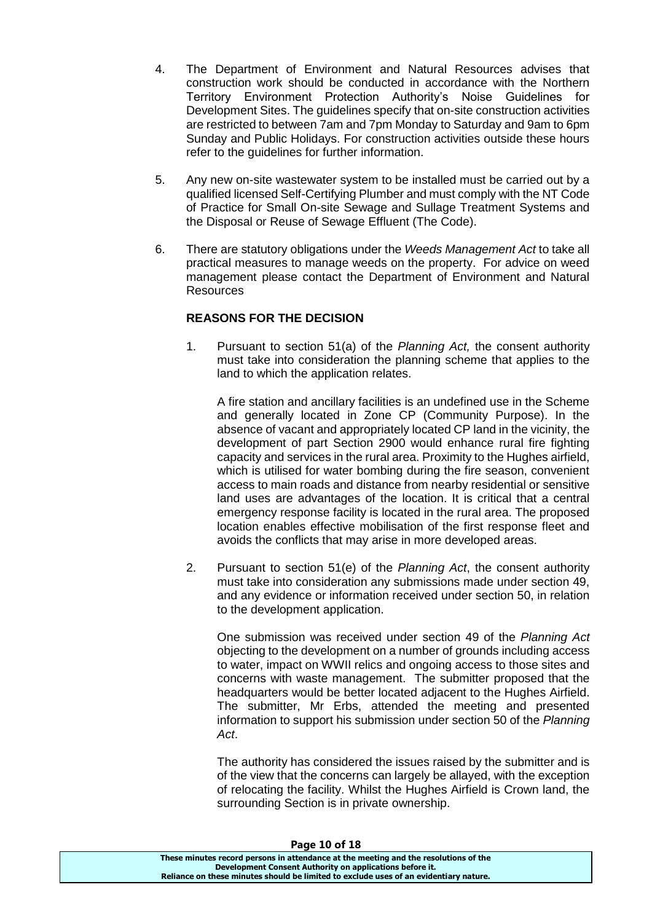- 4. The Department of Environment and Natural Resources advises that construction work should be conducted in accordance with the Northern Territory Environment Protection Authority's Noise Guidelines for Development Sites. The guidelines specify that on-site construction activities are restricted to between 7am and 7pm Monday to Saturday and 9am to 6pm Sunday and Public Holidays. For construction activities outside these hours refer to the guidelines for further information.
- 5. Any new on-site wastewater system to be installed must be carried out by a qualified licensed Self-Certifying Plumber and must comply with the NT Code of Practice for Small On-site Sewage and Sullage Treatment Systems and the Disposal or Reuse of Sewage Effluent (The Code).
- 6. There are statutory obligations under the *Weeds Management Act* to take all practical measures to manage weeds on the property. For advice on weed management please contact the Department of Environment and Natural Resources

### **REASONS FOR THE DECISION**

1. Pursuant to section 51(a) of the *Planning Act,* the consent authority must take into consideration the planning scheme that applies to the land to which the application relates.

A fire station and ancillary facilities is an undefined use in the Scheme and generally located in Zone CP (Community Purpose). In the absence of vacant and appropriately located CP land in the vicinity, the development of part Section 2900 would enhance rural fire fighting capacity and services in the rural area. Proximity to the Hughes airfield, which is utilised for water bombing during the fire season, convenient access to main roads and distance from nearby residential or sensitive land uses are advantages of the location. It is critical that a central emergency response facility is located in the rural area. The proposed location enables effective mobilisation of the first response fleet and avoids the conflicts that may arise in more developed areas.

2. Pursuant to section 51(e) of the *Planning Act*, the consent authority must take into consideration any submissions made under section 49, and any evidence or information received under section 50, in relation to the development application.

One submission was received under section 49 of the *Planning Act* objecting to the development on a number of grounds including access to water, impact on WWII relics and ongoing access to those sites and concerns with waste management. The submitter proposed that the headquarters would be better located adjacent to the Hughes Airfield. The submitter, Mr Erbs, attended the meeting and presented information to support his submission under section 50 of the *Planning Act*.

The authority has considered the issues raised by the submitter and is of the view that the concerns can largely be allayed, with the exception of relocating the facility. Whilst the Hughes Airfield is Crown land, the surrounding Section is in private ownership.

| Page 10 of 18                                                                         |  |
|---------------------------------------------------------------------------------------|--|
| These minutes record persons in attendance at the meeting and the resolutions of the  |  |
| Development Consent Authority on applications before it.                              |  |
| Reliance on these minutes should be limited to exclude uses of an evidentiary nature. |  |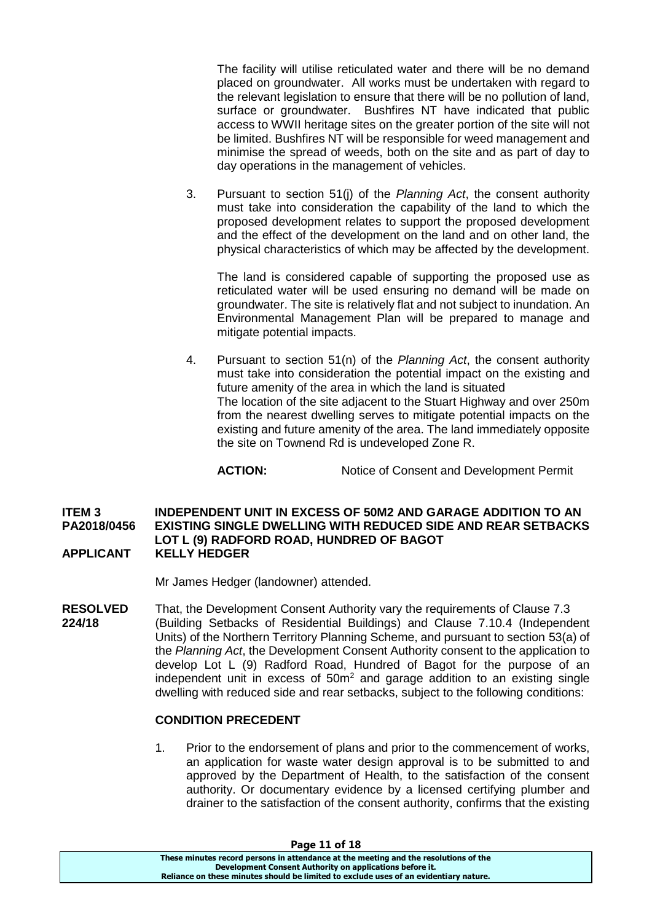The facility will utilise reticulated water and there will be no demand placed on groundwater. All works must be undertaken with regard to the relevant legislation to ensure that there will be no pollution of land, surface or groundwater. Bushfires NT have indicated that public access to WWII heritage sites on the greater portion of the site will not be limited. Bushfires NT will be responsible for weed management and minimise the spread of weeds, both on the site and as part of day to day operations in the management of vehicles.

3. Pursuant to section 51(j) of the *Planning Act*, the consent authority must take into consideration the capability of the land to which the proposed development relates to support the proposed development and the effect of the development on the land and on other land, the physical characteristics of which may be affected by the development.

The land is considered capable of supporting the proposed use as reticulated water will be used ensuring no demand will be made on groundwater. The site is relatively flat and not subject to inundation. An Environmental Management Plan will be prepared to manage and mitigate potential impacts.

4. Pursuant to section 51(n) of the *Planning Act*, the consent authority must take into consideration the potential impact on the existing and future amenity of the area in which the land is situated The location of the site adjacent to the Stuart Highway and over 250m from the nearest dwelling serves to mitigate potential impacts on the existing and future amenity of the area. The land immediately opposite the site on Townend Rd is undeveloped Zone R.

**ACTION:** Notice of Consent and Development Permit

#### **ITEM 3 INDEPENDENT UNIT IN EXCESS OF 50M2 AND GARAGE ADDITION TO AN PA2018/0456 EXISTING SINGLE DWELLING WITH REDUCED SIDE AND REAR SETBACKS LOT L (9) RADFORD ROAD, HUNDRED OF BAGOT APPLICANT KELLY HEDGER**

Mr James Hedger (landowner) attended.

**RESOLVED** That, the Development Consent Authority vary the requirements of Clause 7.3 **224/18** (Building Setbacks of Residential Buildings) and Clause 7.10.4 (Independent Units) of the Northern Territory Planning Scheme, and pursuant to section 53(a) of the *Planning Act*, the Development Consent Authority consent to the application to develop Lot L (9) Radford Road, Hundred of Bagot for the purpose of an independent unit in excess of 50m<sup>2</sup> and garage addition to an existing single dwelling with reduced side and rear setbacks, subject to the following conditions:

#### **CONDITION PRECEDENT**

1. Prior to the endorsement of plans and prior to the commencement of works, an application for waste water design approval is to be submitted to and approved by the Department of Health, to the satisfaction of the consent authority. Or documentary evidence by a licensed certifying plumber and drainer to the satisfaction of the consent authority, confirms that the existing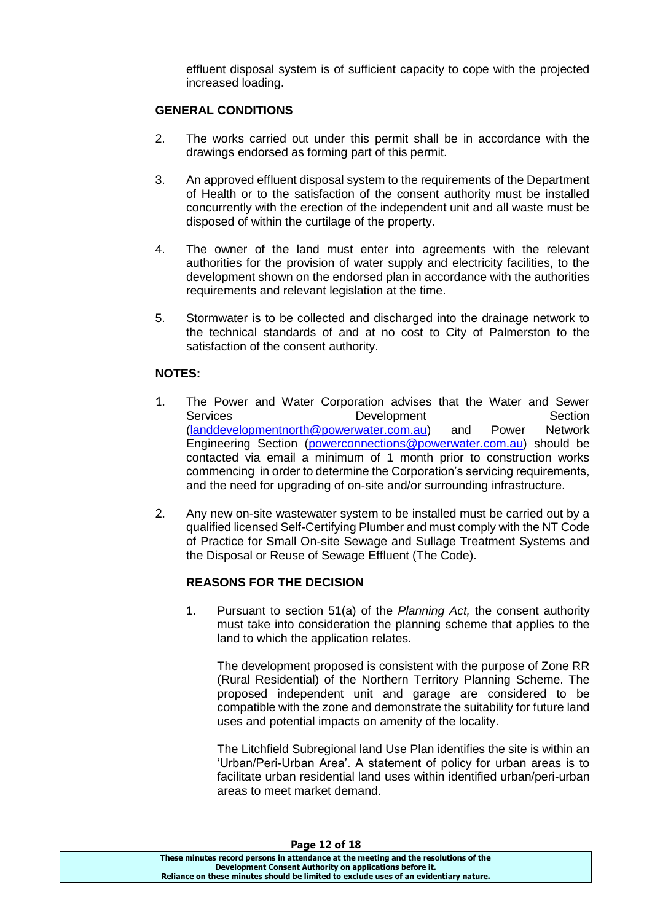effluent disposal system is of sufficient capacity to cope with the projected increased loading.

#### **GENERAL CONDITIONS**

- 2. The works carried out under this permit shall be in accordance with the drawings endorsed as forming part of this permit.
- 3. An approved effluent disposal system to the requirements of the Department of Health or to the satisfaction of the consent authority must be installed concurrently with the erection of the independent unit and all waste must be disposed of within the curtilage of the property.
- 4. The owner of the land must enter into agreements with the relevant authorities for the provision of water supply and electricity facilities, to the development shown on the endorsed plan in accordance with the authorities requirements and relevant legislation at the time.
- 5. Stormwater is to be collected and discharged into the drainage network to the technical standards of and at no cost to City of Palmerston to the satisfaction of the consent authority.

#### **NOTES:**

- 1. The Power and Water Corporation advises that the Water and Sewer Services **Development** Development Section [\(landdevelopmentnorth@powerwater.com.au\)](mailto:landdevelopmentnorth@powerwater.com.au) and Power Network Engineering Section [\(powerconnections@powerwater.com.au\)](mailto:powerconnections@powerwater.com.au) should be contacted via email a minimum of 1 month prior to construction works commencing in order to determine the Corporation's servicing requirements, and the need for upgrading of on-site and/or surrounding infrastructure.
- 2. Any new on-site wastewater system to be installed must be carried out by a qualified licensed Self-Certifying Plumber and must comply with the NT Code of Practice for Small On-site Sewage and Sullage Treatment Systems and the Disposal or Reuse of Sewage Effluent (The Code).

#### **REASONS FOR THE DECISION**

1. Pursuant to section 51(a) of the *Planning Act,* the consent authority must take into consideration the planning scheme that applies to the land to which the application relates.

The development proposed is consistent with the purpose of Zone RR (Rural Residential) of the Northern Territory Planning Scheme. The proposed independent unit and garage are considered to be compatible with the zone and demonstrate the suitability for future land uses and potential impacts on amenity of the locality.

The Litchfield Subregional land Use Plan identifies the site is within an 'Urban/Peri-Urban Area'. A statement of policy for urban areas is to facilitate urban residential land uses within identified urban/peri-urban areas to meet market demand.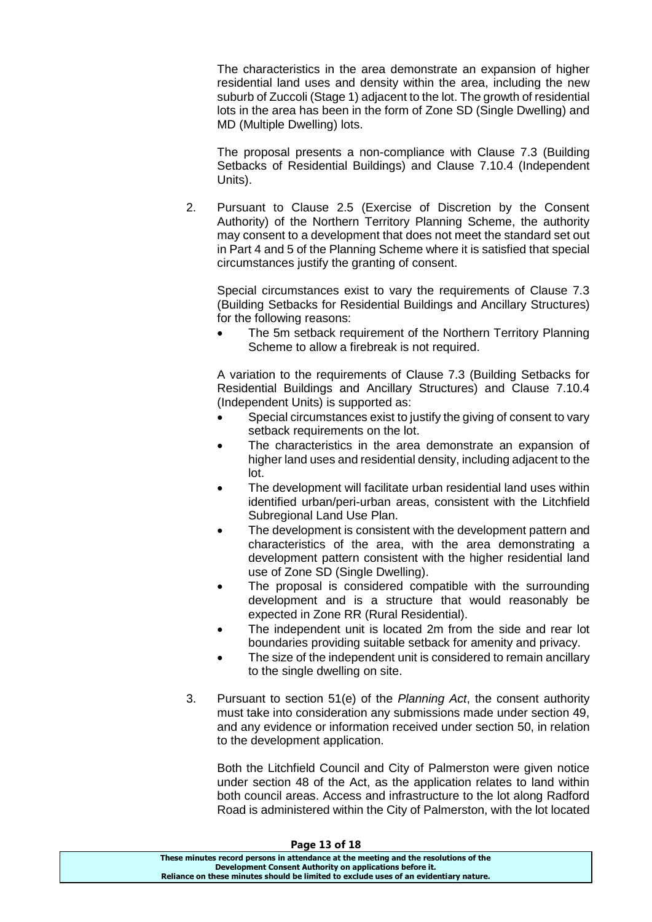The characteristics in the area demonstrate an expansion of higher residential land uses and density within the area, including the new suburb of Zuccoli (Stage 1) adjacent to the lot. The growth of residential lots in the area has been in the form of Zone SD (Single Dwelling) and MD (Multiple Dwelling) lots.

The proposal presents a non-compliance with Clause 7.3 (Building Setbacks of Residential Buildings) and Clause 7.10.4 (Independent Units).

2. Pursuant to Clause 2.5 (Exercise of Discretion by the Consent Authority) of the Northern Territory Planning Scheme, the authority may consent to a development that does not meet the standard set out in Part 4 and 5 of the Planning Scheme where it is satisfied that special circumstances justify the granting of consent.

Special circumstances exist to vary the requirements of Clause 7.3 (Building Setbacks for Residential Buildings and Ancillary Structures) for the following reasons:

 The 5m setback requirement of the Northern Territory Planning Scheme to allow a firebreak is not required.

A variation to the requirements of Clause 7.3 (Building Setbacks for Residential Buildings and Ancillary Structures) and Clause 7.10.4 (Independent Units) is supported as:

- Special circumstances exist to justify the giving of consent to vary setback requirements on the lot.
- The characteristics in the area demonstrate an expansion of higher land uses and residential density, including adjacent to the lot.
- The development will facilitate urban residential land uses within identified urban/peri-urban areas, consistent with the Litchfield Subregional Land Use Plan.
- The development is consistent with the development pattern and characteristics of the area, with the area demonstrating a development pattern consistent with the higher residential land use of Zone SD (Single Dwelling).
- The proposal is considered compatible with the surrounding development and is a structure that would reasonably be expected in Zone RR (Rural Residential).
- The independent unit is located 2m from the side and rear lot boundaries providing suitable setback for amenity and privacy.
- The size of the independent unit is considered to remain ancillary to the single dwelling on site.
- 3. Pursuant to section 51(e) of the *Planning Act*, the consent authority must take into consideration any submissions made under section 49, and any evidence or information received under section 50, in relation to the development application.

Both the Litchfield Council and City of Palmerston were given notice under section 48 of the Act, as the application relates to land within both council areas. Access and infrastructure to the lot along Radford Road is administered within the City of Palmerston, with the lot located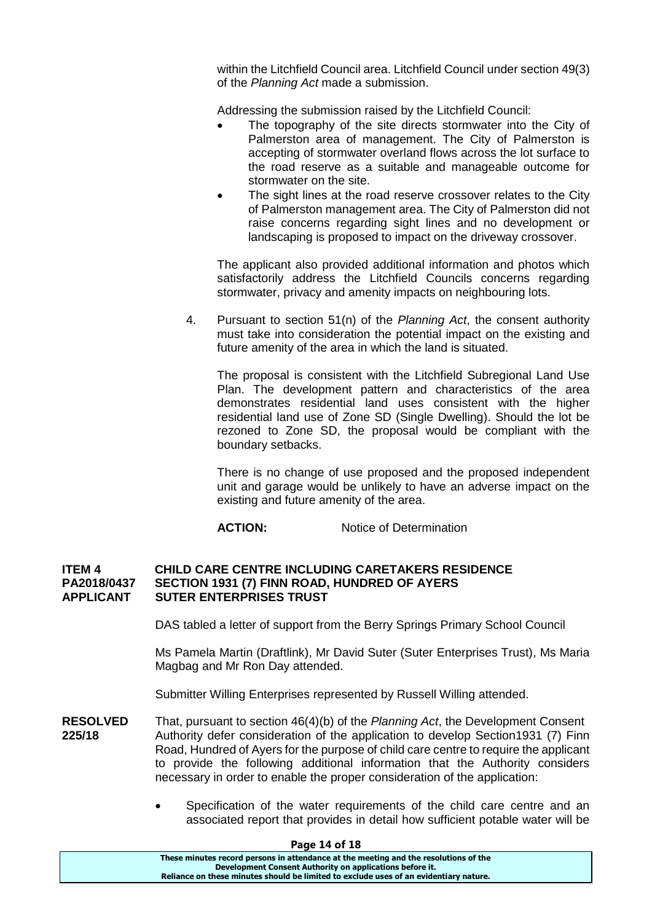within the Litchfield Council area. Litchfield Council under section 49(3) of the *Planning Act* made a submission.

Addressing the submission raised by the Litchfield Council:

- The topography of the site directs stormwater into the City of Palmerston area of management. The City of Palmerston is accepting of stormwater overland flows across the lot surface to the road reserve as a suitable and manageable outcome for stormwater on the site.
- The sight lines at the road reserve crossover relates to the City of Palmerston management area. The City of Palmerston did not raise concerns regarding sight lines and no development or landscaping is proposed to impact on the driveway crossover.

The applicant also provided additional information and photos which satisfactorily address the Litchfield Councils concerns regarding stormwater, privacy and amenity impacts on neighbouring lots.

4. Pursuant to section 51(n) of the *Planning Act*, the consent authority must take into consideration the potential impact on the existing and future amenity of the area in which the land is situated.

The proposal is consistent with the Litchfield Subregional Land Use Plan. The development pattern and characteristics of the area demonstrates residential land uses consistent with the higher residential land use of Zone SD (Single Dwelling). Should the lot be rezoned to Zone SD, the proposal would be compliant with the boundary setbacks.

There is no change of use proposed and the proposed independent unit and garage would be unlikely to have an adverse impact on the existing and future amenity of the area.

**ACTION:** Notice of Determination

#### **ITEM 4 CHILD CARE CENTRE INCLUDING CARETAKERS RESIDENCE PA2018/0437 SECTION 1931 (7) FINN ROAD, HUNDRED OF AYERS APPLICANT SUTER ENTERPRISES TRUST**

DAS tabled a letter of support from the Berry Springs Primary School Council

Ms Pamela Martin (Draftlink), Mr David Suter (Suter Enterprises Trust), Ms Maria Magbag and Mr Ron Day attended.

Submitter Willing Enterprises represented by Russell Willing attended.

- **RESOLVED** That, pursuant to section 46(4)(b) of the *Planning Act*, the Development Consent **225/18** Authority defer consideration of the application to develop Section1931 (7) Finn Road, Hundred of Ayers for the purpose of child care centre to require the applicant to provide the following additional information that the Authority considers necessary in order to enable the proper consideration of the application:
	- Specification of the water requirements of the child care centre and an associated report that provides in detail how sufficient potable water will be

| Page 14 of 18                                                                         |
|---------------------------------------------------------------------------------------|
| These minutes record persons in attendance at the meeting and the resolutions of the  |
| Development Consent Authority on applications before it.                              |
| Reliance on these minutes should be limited to exclude uses of an evidentiary nature. |
|                                                                                       |

**Page 14 of 18**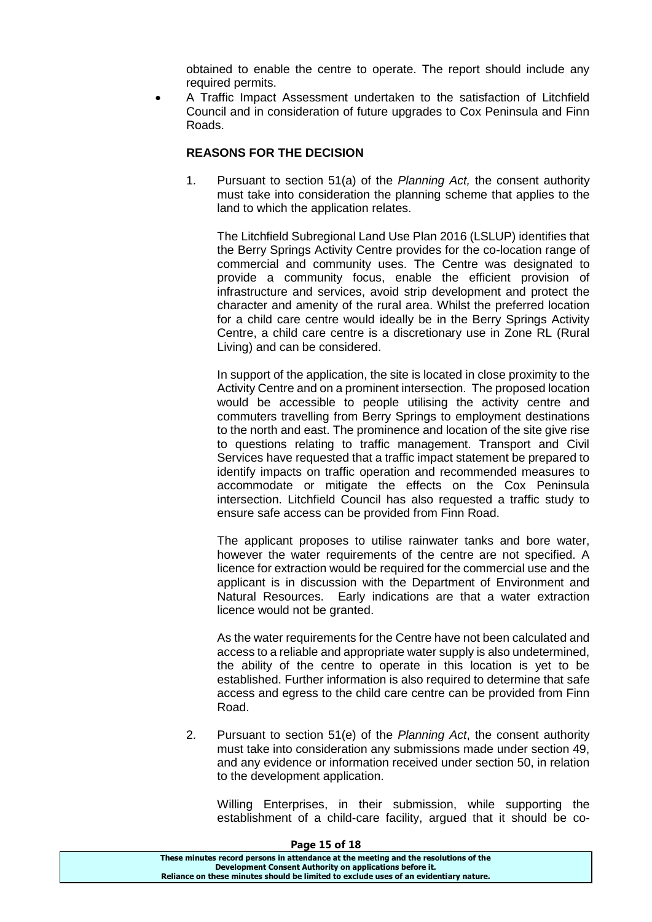obtained to enable the centre to operate. The report should include any required permits.

 A Traffic Impact Assessment undertaken to the satisfaction of Litchfield Council and in consideration of future upgrades to Cox Peninsula and Finn Roads.

### **REASONS FOR THE DECISION**

1. Pursuant to section 51(a) of the *Planning Act,* the consent authority must take into consideration the planning scheme that applies to the land to which the application relates.

The Litchfield Subregional Land Use Plan 2016 (LSLUP) identifies that the Berry Springs Activity Centre provides for the co-location range of commercial and community uses. The Centre was designated to provide a community focus, enable the efficient provision of infrastructure and services, avoid strip development and protect the character and amenity of the rural area. Whilst the preferred location for a child care centre would ideally be in the Berry Springs Activity Centre, a child care centre is a discretionary use in Zone RL (Rural Living) and can be considered.

In support of the application, the site is located in close proximity to the Activity Centre and on a prominent intersection. The proposed location would be accessible to people utilising the activity centre and commuters travelling from Berry Springs to employment destinations to the north and east. The prominence and location of the site give rise to questions relating to traffic management. Transport and Civil Services have requested that a traffic impact statement be prepared to identify impacts on traffic operation and recommended measures to accommodate or mitigate the effects on the Cox Peninsula intersection. Litchfield Council has also requested a traffic study to ensure safe access can be provided from Finn Road.

The applicant proposes to utilise rainwater tanks and bore water, however the water requirements of the centre are not specified. A licence for extraction would be required for the commercial use and the applicant is in discussion with the Department of Environment and Natural Resources. Early indications are that a water extraction licence would not be granted.

As the water requirements for the Centre have not been calculated and access to a reliable and appropriate water supply is also undetermined, the ability of the centre to operate in this location is yet to be established. Further information is also required to determine that safe access and egress to the child care centre can be provided from Finn Road.

2. Pursuant to section 51(e) of the *Planning Act*, the consent authority must take into consideration any submissions made under section 49, and any evidence or information received under section 50, in relation to the development application.

Willing Enterprises, in their submission, while supporting the establishment of a child-care facility, argued that it should be co-

#### **Page 15 of 18**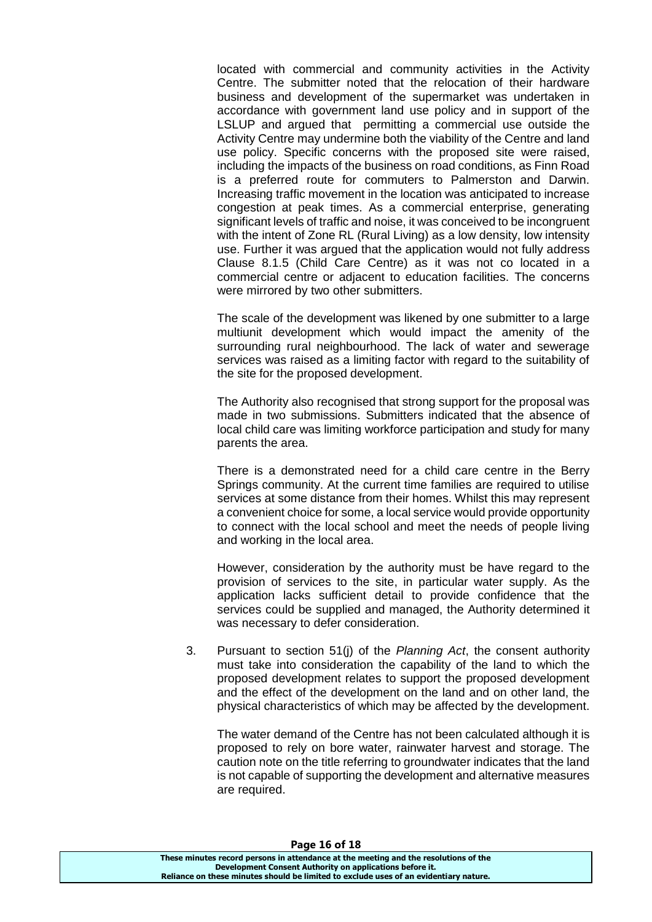located with commercial and community activities in the Activity Centre. The submitter noted that the relocation of their hardware business and development of the supermarket was undertaken in accordance with government land use policy and in support of the LSLUP and argued that permitting a commercial use outside the Activity Centre may undermine both the viability of the Centre and land use policy. Specific concerns with the proposed site were raised, including the impacts of the business on road conditions, as Finn Road is a preferred route for commuters to Palmerston and Darwin. Increasing traffic movement in the location was anticipated to increase congestion at peak times. As a commercial enterprise, generating significant levels of traffic and noise, it was conceived to be incongruent with the intent of Zone RL (Rural Living) as a low density, low intensity use. Further it was argued that the application would not fully address Clause 8.1.5 (Child Care Centre) as it was not co located in a commercial centre or adjacent to education facilities. The concerns were mirrored by two other submitters.

The scale of the development was likened by one submitter to a large multiunit development which would impact the amenity of the surrounding rural neighbourhood. The lack of water and sewerage services was raised as a limiting factor with regard to the suitability of the site for the proposed development.

The Authority also recognised that strong support for the proposal was made in two submissions. Submitters indicated that the absence of local child care was limiting workforce participation and study for many parents the area.

There is a demonstrated need for a child care centre in the Berry Springs community. At the current time families are required to utilise services at some distance from their homes. Whilst this may represent a convenient choice for some, a local service would provide opportunity to connect with the local school and meet the needs of people living and working in the local area.

However, consideration by the authority must be have regard to the provision of services to the site, in particular water supply. As the application lacks sufficient detail to provide confidence that the services could be supplied and managed, the Authority determined it was necessary to defer consideration.

3. Pursuant to section 51(j) of the *Planning Act*, the consent authority must take into consideration the capability of the land to which the proposed development relates to support the proposed development and the effect of the development on the land and on other land, the physical characteristics of which may be affected by the development.

The water demand of the Centre has not been calculated although it is proposed to rely on bore water, rainwater harvest and storage. The caution note on the title referring to groundwater indicates that the land is not capable of supporting the development and alternative measures are required.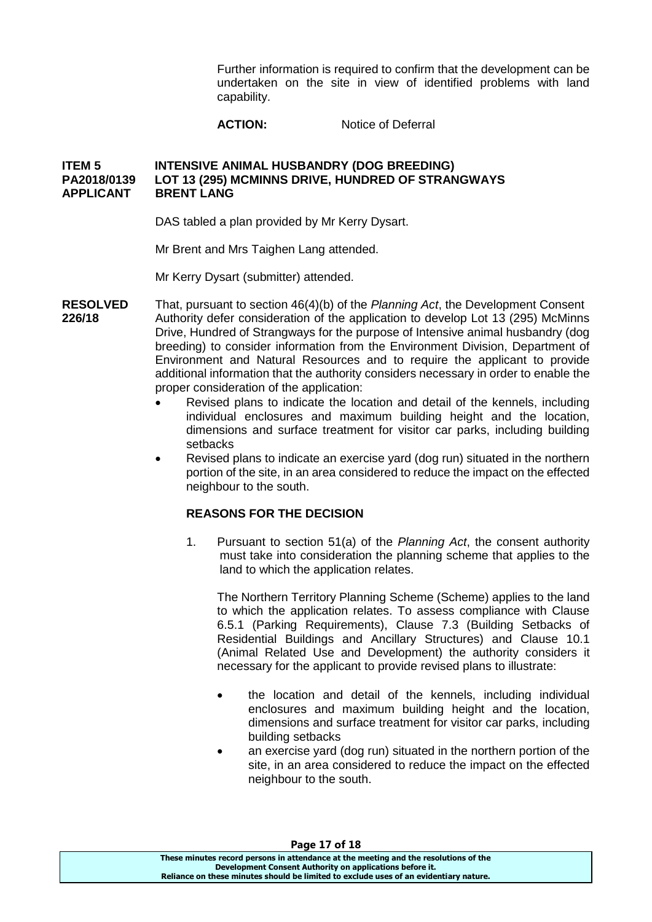Further information is required to confirm that the development can be undertaken on the site in view of identified problems with land capability.

#### ACTION: Notice of Deferral

#### **ITEM 5 INTENSIVE ANIMAL HUSBANDRY (DOG BREEDING) PA2018/0139 LOT 13 (295) MCMINNS DRIVE, HUNDRED OF STRANGWAYS APPLICANT BRENT LANG**

DAS tabled a plan provided by Mr Kerry Dysart.

Mr Brent and Mrs Taighen Lang attended.

Mr Kerry Dysart (submitter) attended.

- **RESOLVED** That, pursuant to section 46(4)(b) of the *Planning Act*, the Development Consent **226/18** Authority defer consideration of the application to develop Lot 13 (295) McMinns Drive, Hundred of Strangways for the purpose of Intensive animal husbandry (dog breeding) to consider information from the Environment Division, Department of Environment and Natural Resources and to require the applicant to provide additional information that the authority considers necessary in order to enable the proper consideration of the application:
	- Revised plans to indicate the location and detail of the kennels, including individual enclosures and maximum building height and the location, dimensions and surface treatment for visitor car parks, including building setbacks
	- Revised plans to indicate an exercise yard (dog run) situated in the northern portion of the site, in an area considered to reduce the impact on the effected neighbour to the south.

## **REASONS FOR THE DECISION**

1. Pursuant to section 51(a) of the *Planning Act*, the consent authority must take into consideration the planning scheme that applies to the land to which the application relates.

The Northern Territory Planning Scheme (Scheme) applies to the land to which the application relates. To assess compliance with Clause 6.5.1 (Parking Requirements), Clause 7.3 (Building Setbacks of Residential Buildings and Ancillary Structures) and Clause 10.1 (Animal Related Use and Development) the authority considers it necessary for the applicant to provide revised plans to illustrate:

- the location and detail of the kennels, including individual enclosures and maximum building height and the location, dimensions and surface treatment for visitor car parks, including building setbacks
- an exercise yard (dog run) situated in the northern portion of the site, in an area considered to reduce the impact on the effected neighbour to the south.